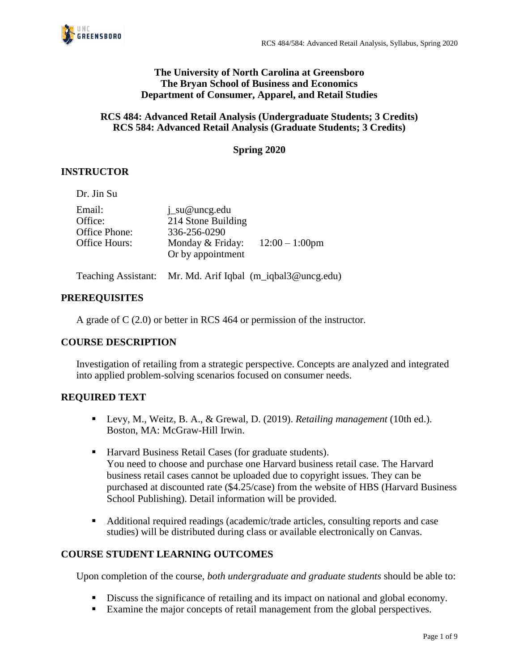

#### **The University of North Carolina at Greensboro The Bryan School of Business and Economics Department of Consumer, Apparel, and Retail Studies**

### **RCS 484: Advanced Retail Analysis (Undergraduate Students; 3 Credits) RCS 584: Advanced Retail Analysis (Graduate Students; 3 Credits)**

## **Spring 2020**

## **INSTRUCTOR**

Dr. Jin Su

| Email:        | $i$ _su@uncg.edu                      |                   |
|---------------|---------------------------------------|-------------------|
| Office:       | 214 Stone Building                    |                   |
| Office Phone: | 336-256-0290                          |                   |
| Office Hours: | Monday & Friday:<br>Or by appointment | $12:00 - 1:00$ pm |
|               |                                       |                   |

Teaching Assistant: Mr. Md. Arif Iqbal (m\_iqbal3@uncg.edu)

#### **PREREQUISITES**

A grade of C (2.0) or better in RCS 464 or permission of the instructor.

### **COURSE DESCRIPTION**

Investigation of retailing from a strategic perspective. Concepts are analyzed and integrated into applied problem-solving scenarios focused on consumer needs.

### **REQUIRED TEXT**

- Levy, M., Weitz, B. A., & Grewal, D. (2019). *Retailing management* (10th ed.). Boston, MA: McGraw-Hill Irwin.
- Harvard Business Retail Cases (for graduate students). You need to choose and purchase one Harvard business retail case. The Harvard business retail cases cannot be uploaded due to copyright issues. They can be purchased at discounted rate (\$4.25/case) from the website of HBS (Harvard Business School Publishing). Detail information will be provided.
- Additional required readings (academic/trade articles, consulting reports and case studies) will be distributed during class or available electronically on Canvas.

### **COURSE STUDENT LEARNING OUTCOMES**

Upon completion of the course, *both undergraduate and graduate students* should be able to:

- **•** Discuss the significance of retailing and its impact on national and global economy.
- Examine the major concepts of retail management from the global perspectives.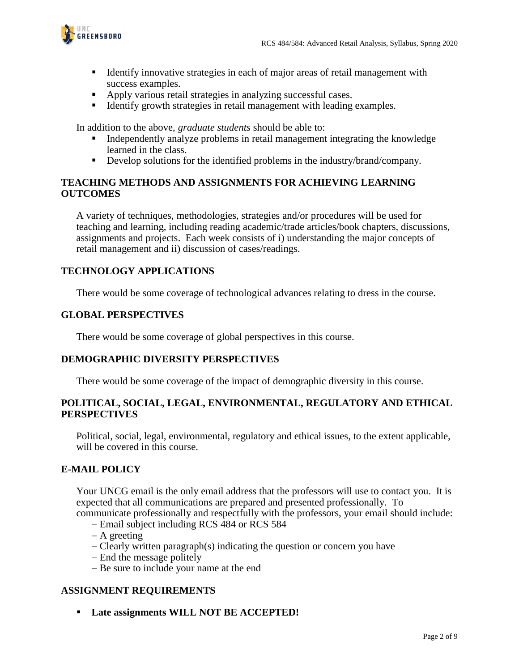

- Identify innovative strategies in each of major areas of retail management with success examples.
- Apply various retail strategies in analyzing successful cases.
- Identify growth strategies in retail management with leading examples.

In addition to the above, *graduate students* should be able to:

- Independently analyze problems in retail management integrating the knowledge learned in the class.
- **•** Develop solutions for the identified problems in the industry/brand/company.

### **TEACHING METHODS AND ASSIGNMENTS FOR ACHIEVING LEARNING OUTCOMES**

A variety of techniques, methodologies, strategies and/or procedures will be used for teaching and learning, including reading academic/trade articles/book chapters, discussions, assignments and projects. Each week consists of i) understanding the major concepts of retail management and ii) discussion of cases/readings.

### **TECHNOLOGY APPLICATIONS**

There would be some coverage of technological advances relating to dress in the course.

### **GLOBAL PERSPECTIVES**

There would be some coverage of global perspectives in this course.

### **DEMOGRAPHIC DIVERSITY PERSPECTIVES**

There would be some coverage of the impact of demographic diversity in this course.

#### **POLITICAL, SOCIAL, LEGAL, ENVIRONMENTAL, REGULATORY AND ETHICAL PERSPECTIVES**

Political, social, legal, environmental, regulatory and ethical issues, to the extent applicable, will be covered in this course.

### **E-MAIL POLICY**

Your UNCG email is the only email address that the professors will use to contact you. It is expected that all communications are prepared and presented professionally. To

communicate professionally and respectfully with the professors, your email should include: − Email subject including RCS 484 or RCS 584

- − A greeting
- − Clearly written paragraph(s) indicating the question or concern you have
- − End the message politely
- − Be sure to include your name at the end

### **ASSIGNMENT REQUIREMENTS**

▪ **Late assignments WILL NOT BE ACCEPTED!**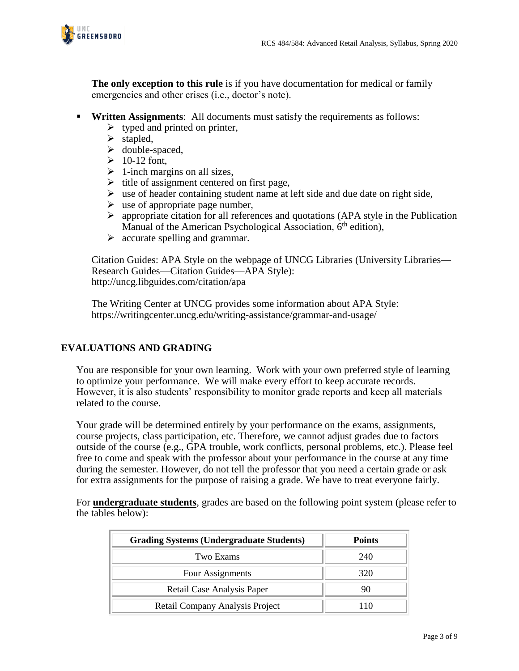

**The only exception to this rule** is if you have documentation for medical or family emergencies and other crises (i.e., doctor's note).

- **Written Assignments**: All documents must satisfy the requirements as follows:
	- $\triangleright$  typed and printed on printer,
	- ➢ stapled,
	- ➢ double-spaced,
	- $\geq 10-12$  font,
	- $\triangleright$  1-inch margins on all sizes,
	- $\triangleright$  title of assignment centered on first page,
	- $\triangleright$  use of header containing student name at left side and due date on right side,
	- $\triangleright$  use of appropriate page number,
	- ➢ appropriate citation for all references and quotations (APA style in the Publication Manual of the American Psychological Association,  $6<sup>th</sup>$  edition),
	- ➢ accurate spelling and grammar.

Citation Guides: APA Style on the webpage of UNCG Libraries (University Libraries— Research Guides—Citation Guides—APA Style): http://uncg.libguides.com/citation/apa

The Writing Center at UNCG provides some information about APA Style: https://writingcenter.uncg.edu/writing-assistance/grammar-and-usage/

### **EVALUATIONS AND GRADING**

You are responsible for your own learning. Work with your own preferred style of learning to optimize your performance. We will make every effort to keep accurate records. However, it is also students' responsibility to monitor grade reports and keep all materials related to the course.

Your grade will be determined entirely by your performance on the exams, assignments, course projects, class participation, etc. Therefore, we cannot adjust grades due to factors outside of the course (e.g., GPA trouble, work conflicts, personal problems, etc.). Please feel free to come and speak with the professor about your performance in the course at any time during the semester. However, do not tell the professor that you need a certain grade or ask for extra assignments for the purpose of raising a grade. We have to treat everyone fairly.

For **undergraduate students**, grades are based on the following point system (please refer to the tables below):

| <b>Grading Systems (Undergraduate Students)</b> | <b>Points</b> |
|-------------------------------------------------|---------------|
| Two Exams                                       | 240           |
| Four Assignments                                | 320           |
| Retail Case Analysis Paper                      | 90            |
| Retail Company Analysis Project                 | 110           |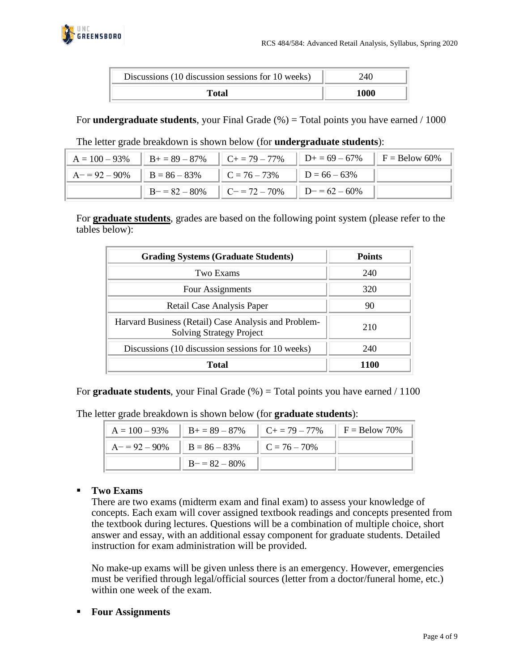

| Discussions (10 discussion sessions for 10 weeks) | 240  |
|---------------------------------------------------|------|
| Total                                             | 1000 |

For **undergraduate students**, your Final Grade (%) = Total points you have earned / 1000

| $A = 100 - 93\%$   B + = 89 - 87%   C + = 79 - 77%   D + = 69 - 67%   F = Below 60% |                                                   |  |
|-------------------------------------------------------------------------------------|---------------------------------------------------|--|
| $A = 92 - 90\%$ $B = 86 - 83\%$ $C = 76 - 73\%$ $D = 66 - 63\%$                     |                                                   |  |
|                                                                                     | $  B - 82 - 80\%   C - 72 - 70\%   D - 62 - 60\%$ |  |

#### The letter grade breakdown is shown below (for **undergraduate students**):

For **graduate students**, grades are based on the following point system (please refer to the tables below):

| <b>Grading Systems (Graduate Students)</b>                                              | <b>Points</b> |
|-----------------------------------------------------------------------------------------|---------------|
| Two Exams                                                                               | 240           |
| Four Assignments                                                                        | 320           |
| Retail Case Analysis Paper                                                              | 90            |
| Harvard Business (Retail) Case Analysis and Problem-<br><b>Solving Strategy Project</b> | 210           |
| Discussions (10 discussion sessions for 10 weeks)                                       | 240           |
| Total                                                                                   |               |

For **graduate students**, your Final Grade (%) = Total points you have earned / 1100

The letter grade breakdown is shown below (for **graduate students**):

| $A = 100 - 93\%$                   | $B_0 = 89 - 87\%$ | $\ C_+ = 79 - 77\% \ F = \text{Below } 70\%$ |  |
|------------------------------------|-------------------|----------------------------------------------|--|
| $A = 92 - 90\%$    $B = 86 - 83\%$ |                   | $\ $ C = 76 – 70%                            |  |
|                                    | $B = 82 - 80%$    |                                              |  |

### ▪ **Two Exams**

There are two exams (midterm exam and final exam) to assess your knowledge of concepts. Each exam will cover assigned textbook readings and concepts presented from the textbook during lectures. Questions will be a combination of multiple choice, short answer and essay, with an additional essay component for graduate students. Detailed instruction for exam administration will be provided.

No make-up exams will be given unless there is an emergency. However, emergencies must be verified through legal/official sources (letter from a doctor/funeral home, etc.) within one week of the exam.

▪ **Four Assignments**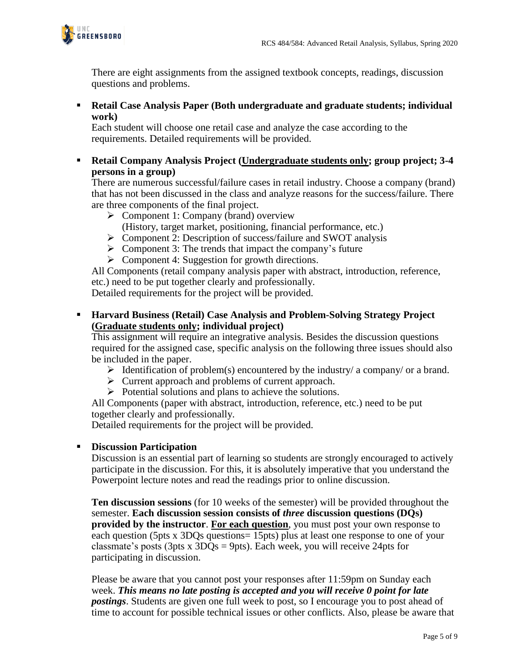

There are eight assignments from the assigned textbook concepts, readings, discussion questions and problems.

▪ **Retail Case Analysis Paper (Both undergraduate and graduate students; individual work)**

Each student will choose one retail case and analyze the case according to the requirements. Detailed requirements will be provided.

▪ **Retail Company Analysis Project (Undergraduate students only; group project; 3-4 persons in a group)**

There are numerous successful/failure cases in retail industry. Choose a company (brand) that has not been discussed in the class and analyze reasons for the success/failure. There are three components of the final project.

- ➢ Component 1: Company (brand) overview (History, target market, positioning, financial performance, etc.)
- ➢ Component 2: Description of success/failure and SWOT analysis
- $\triangleright$  Component 3: The trends that impact the company's future
- $\triangleright$  Component 4: Suggestion for growth directions.

All Components (retail company analysis paper with abstract, introduction, reference, etc.) need to be put together clearly and professionally.

Detailed requirements for the project will be provided.

▪ **Harvard Business (Retail) Case Analysis and Problem-Solving Strategy Project (Graduate students only; individual project)**

This assignment will require an integrative analysis. Besides the discussion questions required for the assigned case, specific analysis on the following three issues should also be included in the paper.

- $\triangleright$  Identification of problem(s) encountered by the industry/ a company/ or a brand.
- ➢ Current approach and problems of current approach.
- ➢ Potential solutions and plans to achieve the solutions.

All Components (paper with abstract, introduction, reference, etc.) need to be put together clearly and professionally.

Detailed requirements for the project will be provided.

### ▪ **Discussion Participation**

Discussion is an essential part of learning so students are strongly encouraged to actively participate in the discussion. For this, it is absolutely imperative that you understand the Powerpoint lecture notes and read the readings prior to online discussion.

**Ten discussion sessions** (for 10 weeks of the semester) will be provided throughout the semester. **Each discussion session consists of** *three* **discussion questions (DQs) provided by the instructor**. **For each question**, you must post your own response to each question (5pts x 3DQs questions= 15pts) plus at least one response to one of your classmate's posts (3pts x  $3DQs = 9pts$ ). Each week, you will receive 24pts for participating in discussion.

Please be aware that you cannot post your responses after 11:59pm on Sunday each week. *This means no late posting is accepted and you will receive 0 point for late postings*. Students are given one full week to post, so I encourage you to post ahead of time to account for possible technical issues or other conflicts. Also, please be aware that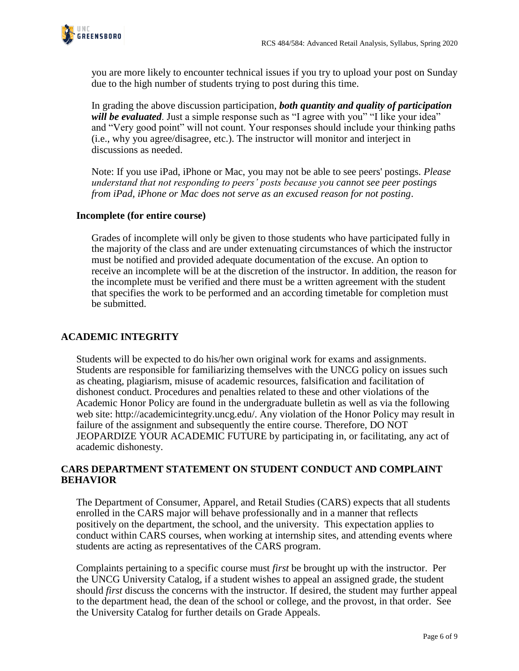

you are more likely to encounter technical issues if you try to upload your post on Sunday due to the high number of students trying to post during this time.

In grading the above discussion participation, *both quantity and quality of participation will be evaluated*. Just a simple response such as "I agree with you" "I like your idea" and "Very good point" will not count. Your responses should include your thinking paths (i.e., why you agree/disagree, etc.). The instructor will monitor and interject in discussions as needed.

Note: If you use iPad, iPhone or Mac, you may not be able to see peers' postings*. Please understand that not responding to peers' posts because you cannot see peer postings from iPad, iPhone or Mac does not serve as an excused reason for not posting*.

### **Incomplete (for entire course)**

Grades of incomplete will only be given to those students who have participated fully in the majority of the class and are under extenuating circumstances of which the instructor must be notified and provided adequate documentation of the excuse. An option to receive an incomplete will be at the discretion of the instructor. In addition, the reason for the incomplete must be verified and there must be a written agreement with the student that specifies the work to be performed and an according timetable for completion must be submitted.

# **ACADEMIC INTEGRITY**

Students will be expected to do his/her own original work for exams and assignments. Students are responsible for familiarizing themselves with the UNCG policy on issues such as cheating, plagiarism, misuse of academic resources, falsification and facilitation of dishonest conduct. Procedures and penalties related to these and other violations of the Academic Honor Policy are found in the undergraduate bulletin as well as via the following web site: http://academicintegrity.uncg.edu/. Any violation of the Honor Policy may result in failure of the assignment and subsequently the entire course. Therefore, DO NOT JEOPARDIZE YOUR ACADEMIC FUTURE by participating in, or facilitating, any act of academic dishonesty.

## **CARS DEPARTMENT STATEMENT ON STUDENT CONDUCT AND COMPLAINT BEHAVIOR**

The Department of Consumer, Apparel, and Retail Studies (CARS) expects that all students enrolled in the CARS major will behave professionally and in a manner that reflects positively on the department, the school, and the university. This expectation applies to conduct within CARS courses, when working at internship sites, and attending events where students are acting as representatives of the CARS program.

Complaints pertaining to a specific course must *first* be brought up with the instructor. Per the UNCG University Catalog, if a student wishes to appeal an assigned grade, the student should *first* discuss the concerns with the instructor. If desired, the student may further appeal to the department head, the dean of the school or college, and the provost, in that order. See the University Catalog for further details on Grade Appeals.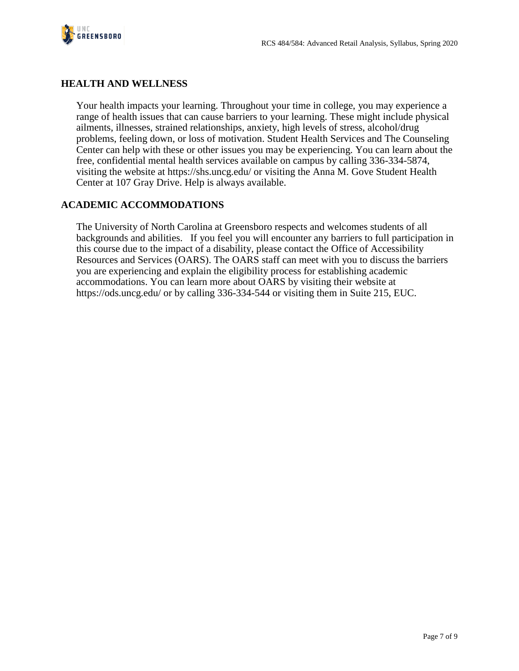

# **HEALTH AND WELLNESS**

Your health impacts your learning. Throughout your time in college, you may experience a range of health issues that can cause barriers to your learning. These might include physical ailments, illnesses, strained relationships, anxiety, high levels of stress, alcohol/drug problems, feeling down, or loss of motivation. Student Health Services and The Counseling Center can help with these or other issues you may be experiencing. You can learn about the free, confidential mental health services available on campus by calling 336-334-5874, visiting the website at https://shs.uncg.edu/ or visiting the Anna M. Gove Student Health Center at 107 Gray Drive. Help is always available.

# **ACADEMIC ACCOMMODATIONS**

The University of North Carolina at Greensboro respects and welcomes students of all backgrounds and abilities. If you feel you will encounter any barriers to full participation in this course due to the impact of a disability, please contact the Office of Accessibility Resources and Services (OARS). The OARS staff can meet with you to discuss the barriers you are experiencing and explain the eligibility process for establishing academic accommodations. You can learn more about OARS by visiting their website at https://ods.uncg.edu/ or by calling 336-334-544 or visiting them in Suite 215, EUC.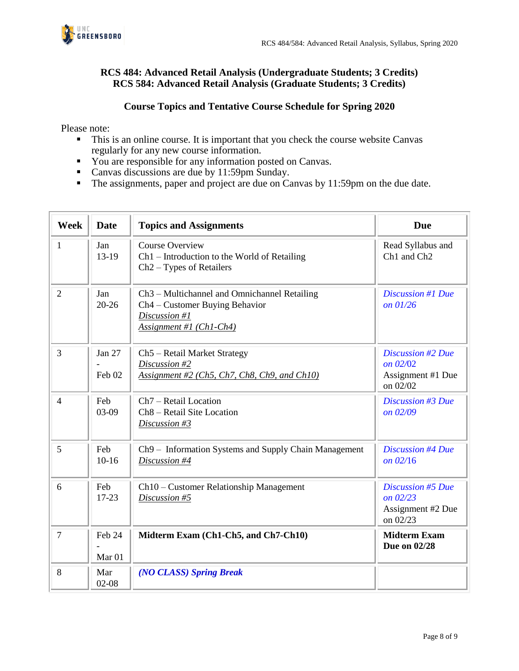

## **RCS 484: Advanced Retail Analysis (Undergraduate Students; 3 Credits) RCS 584: Advanced Retail Analysis (Graduate Students; 3 Credits)**

## **Course Topics and Tentative Course Schedule for Spring 2020**

Please note:

- This is an online course. It is important that you check the course website Canvas regularly for any new course information.
- You are responsible for any information posted on Canvas.
- Canvas discussions are due by 11:59pm Sunday.
- The assignments, paper and project are due on Canvas by 11:59pm on the due date.

| <b>Week</b>    | <b>Date</b>                 | <b>Topics and Assignments</b>                                                                                                          | <b>Due</b>                                                              |
|----------------|-----------------------------|----------------------------------------------------------------------------------------------------------------------------------------|-------------------------------------------------------------------------|
| 1              | Jan<br>$13-19$              | <b>Course Overview</b><br>$Ch1$ – Introduction to the World of Retailing<br>$Ch2-Types$ of Retailers                                   | Read Syllabus and<br>Ch1 and Ch2                                        |
| $\overline{2}$ | Jan<br>$20 - 26$            | Ch <sub>3</sub> – Multichannel and Omnichannel Retailing<br>Ch4 – Customer Buying Behavior<br>Discussion #1<br>Assignment #1 (Ch1-Ch4) | <b>Discussion #1 Due</b><br>on 01/26                                    |
| $\overline{3}$ | Jan 27<br>Feb 02            | Ch5 - Retail Market Strategy<br>Discussion #2<br>Assignment #2 (Ch5, Ch7, Ch8, Ch9, and Ch10)                                          | <b>Discussion #2 Due</b><br>on $02/02$<br>Assignment #1 Due<br>on 02/02 |
| $\overline{4}$ | Feb<br>03-09                | Ch <sub>7</sub> – Retail Location<br>Ch8 - Retail Site Location<br>Discussion #3                                                       | Discussion #3 Due<br>on 02/09                                           |
| 5              | Feb<br>$10-16$              | Ch9 - Information Systems and Supply Chain Management<br>Discussion #4                                                                 | <b>Discussion #4 Due</b><br>on 02/16                                    |
| 6              | Feb<br>$17-23$              | Ch10 – Customer Relationship Management<br>Discussion #5                                                                               | Discussion #5 Due<br>on 02/23<br>Assignment #2 Due<br>on 02/23          |
| $\overline{7}$ | Feb 24<br>Mar <sub>01</sub> | Midterm Exam (Ch1-Ch5, and Ch7-Ch10)                                                                                                   | <b>Midterm Exam</b><br>Due on 02/28                                     |
| 8              | Mar<br>$02 - 08$            | (NO CLASS) Spring Break                                                                                                                |                                                                         |